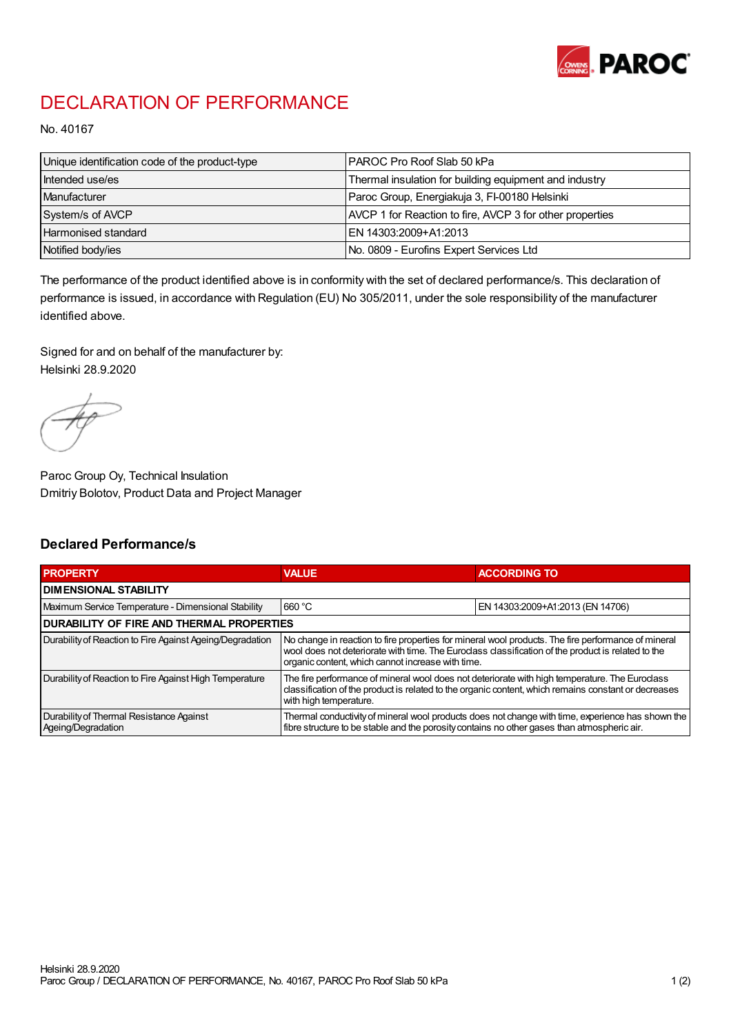

## DECLARATION OF PERFORMANCE

No. 40167

| Unique identification code of the product-type | IPAROC Pro Roof Slab 50 kPa                              |
|------------------------------------------------|----------------------------------------------------------|
| Intended use/es                                | Thermal insulation for building equipment and industry   |
| Manufacturer                                   | Paroc Group, Energiakuja 3, FI-00180 Helsinki            |
| System/s of AVCP                               | AVCP 1 for Reaction to fire, AVCP 3 for other properties |
| Harmonised standard                            | IEN 14303:2009+A1:2013                                   |
| Notified body/ies                              | No. 0809 - Eurofins Expert Services Ltd                  |

The performance of the product identified above is in conformity with the set of declared performance/s. This declaration of performance is issued, in accordance with Regulation (EU) No 305/2011, under the sole responsibility of the manufacturer identified above.

Signed for and on behalf of the manufacturer by: Helsinki 28.9.2020

Paroc Group Oy, Technical Insulation Dmitriy Bolotov, Product Data and Project Manager

## Declared Performance/s

| <b>PROPERTY</b>                                                | <b>VALUE</b>                                                                                                                                                                                                                                                   | <b>ACCORDING TO.</b>             |  |
|----------------------------------------------------------------|----------------------------------------------------------------------------------------------------------------------------------------------------------------------------------------------------------------------------------------------------------------|----------------------------------|--|
| <b>DIMENSIONAL STABILITY</b>                                   |                                                                                                                                                                                                                                                                |                                  |  |
| Maximum Service Temperature - Dimensional Stability            | 660 °C                                                                                                                                                                                                                                                         | EN 14303:2009+A1:2013 (EN 14706) |  |
| <b>DURABILITY OF FIRE AND THERMAL PROPERTIES</b>               |                                                                                                                                                                                                                                                                |                                  |  |
| Durability of Reaction to Fire Against Ageing/Degradation      | No change in reaction to fire properties for mineral wool products. The fire performance of mineral<br>wool does not deteriorate with time. The Euroclass classification of the product is related to the<br>organic content, which cannot increase with time. |                                  |  |
| Durability of Reaction to Fire Against High Temperature        | The fire performance of mineral wool does not deteriorate with high temperature. The Euroclass<br>classification of the product is related to the organic content, which remains constant or decreases<br>with high temperature.                               |                                  |  |
| Durability of Thermal Resistance Against<br>Ageing/Degradation | Thermal conductivity of mineral wool products does not change with time, experience has shown the<br>fibre structure to be stable and the porosity contains no other gases than atmospheric air.                                                               |                                  |  |